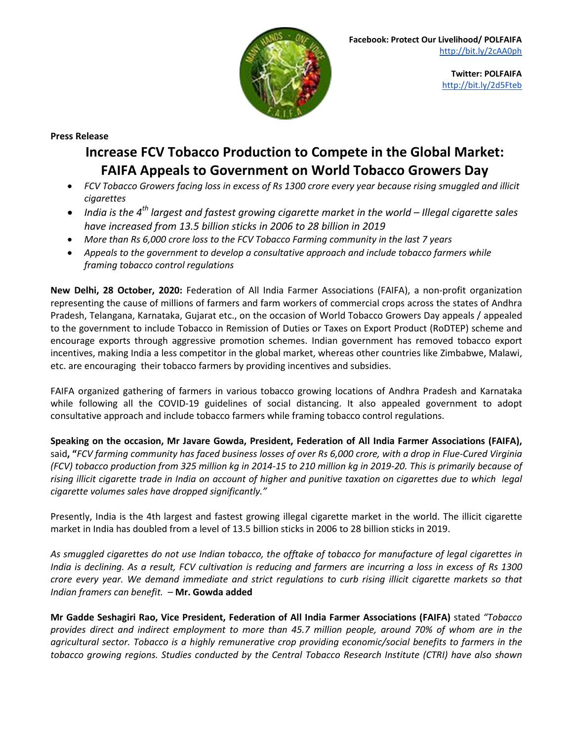

**Twitter: POLFAIFA** <http://bit.ly/2d5Fteb>

**Press Release**

## **Increase FCV Tobacco Production to Compete in the Global Market: FAIFA Appeals to Government on World Tobacco Growers Day**

- FCV Tobacco Growers facing loss in excess of Rs 1300 crore every year because rising smuggled and illicit *cigarettes*
- $\bullet$  India is the 4<sup>th</sup> largest and fastest growing cigarette market in the world Illegal cigarette sales *have increased from 13.5 billion sticks in 2006 to 28 billion in 2019*
- *More than Rs 6,000 crore loss to the FCV Tobacco Farming community in the last 7 years*
- *Appeals to the government to develop a consultative approach and include tobacco farmers while framing tobacco control regulations*

**New Delhi, 28 October, 2020:** Federation of All India Farmer Associations (FAIFA), a non-profit organization representing the cause of millions of farmers and farm workers of commercial crops across the states of Andhra Pradesh, Telangana, Karnataka, Gujarat etc., on the occasion of World Tobacco Growers Day appeals / appealed to the government to include Tobacco in Remission of Duties or Taxes on Export Product (RoDTEP) scheme and encourage exports through aggressive promotion schemes. Indian government has removed tobacco export incentives, making India a less competitor in the global market, whereas other countries like Zimbabwe, Malawi, etc. are encouraging their tobacco farmers by providing incentives and subsidies.

FAIFA organized gathering of farmers in various tobacco growing locations of Andhra Pradesh and Karnataka while following all the COVID-19 guidelines of social distancing. It also appealed government to adopt consultative approach and include tobacco farmers while framing tobacco control regulations.

**Speaking on the occasion, Mr Javare Gowda, President, Federation of All India Farmer Associations (FAIFA),** said, "FCV farming community has faced business losses of over Rs 6,000 crore, with a drop in Flue-Cured Virginia (FCV) tobacco production from 325 million kg in 2014-15 to 210 million kg in 2019-20. This is primarily because of rising illicit cigarette trade in India on account of higher and punitive taxation on cigarettes due to which legal *cigarette volumes sales have dropped significantly."*

Presently, India is the 4th largest and fastest growing illegal cigarette market in the world. The illicit cigarette market in India has doubled from a level of 13.5 billion sticks in 2006 to 28 billion sticks in 2019.

As smuggled cigarettes do not use Indian tobacco, the offtake of tobacco for manufacture of legal cigarettes in India is declining. As a result, FCV cultivation is reducing and farmers are incurring a loss in excess of Rs 1300 crore every year. We demand immediate and strict regulations to curb rising illicit cigarette markets so that *Indian framers can benefit. –* **Mr. Gowda added**

**Mr Gadde Seshagiri Rao, Vice President, Federation of All India Farmer Associations (FAIFA)** stated *"Tobacco* provides direct and indirect employment to more than 45.7 million people, around 70% of whom are in the *agricultural sector. Tobacco is a highly remunerative crop providing economic/social benefits to farmers in the tobacco growing regions. Studies conducted by the Central Tobacco Research Institute (CTRI) have also shown*